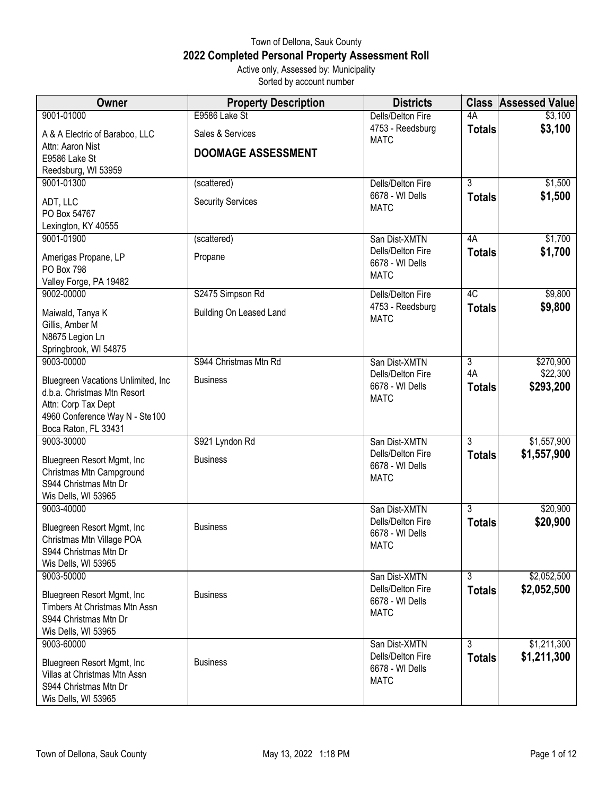## Town of Dellona, Sauk County **2022 Completed Personal Property Assessment Roll** Active only, Assessed by: Municipality

Sorted by account number

| Owner                                                      | <b>Property Description</b> | <b>Districts</b>                     |                | <b>Class Assessed Value</b> |
|------------------------------------------------------------|-----------------------------|--------------------------------------|----------------|-----------------------------|
| 9001-01000                                                 | E9586 Lake St               | Dells/Delton Fire                    | 4A             | \$3,100                     |
| A & A Electric of Baraboo, LLC                             | Sales & Services            | 4753 - Reedsburg<br><b>MATC</b>      | <b>Totals</b>  | \$3,100                     |
| Attn: Aaron Nist<br>E9586 Lake St                          | <b>DOOMAGE ASSESSMENT</b>   |                                      |                |                             |
| Reedsburg, WI 53959                                        |                             |                                      |                |                             |
| 9001-01300                                                 | (scattered)                 | Dells/Delton Fire                    | $\overline{3}$ | \$1,500                     |
| ADT, LLC                                                   | <b>Security Services</b>    | 6678 - WI Dells                      | <b>Totals</b>  | \$1,500                     |
| PO Box 54767                                               |                             | <b>MATC</b>                          |                |                             |
| Lexington, KY 40555                                        |                             |                                      |                |                             |
| 9001-01900                                                 | (scattered)                 | San Dist-XMTN                        | 4A             | \$1,700                     |
| Amerigas Propane, LP<br><b>PO Box 798</b>                  | Propane                     | Dells/Delton Fire<br>6678 - WI Dells | <b>Totals</b>  | \$1,700                     |
| Valley Forge, PA 19482                                     |                             | <b>MATC</b>                          |                |                             |
| 9002-00000                                                 | S2475 Simpson Rd            | Dells/Delton Fire                    | 4C             | \$9,800                     |
|                                                            |                             | 4753 - Reedsburg                     | <b>Totals</b>  | \$9,800                     |
| Maiwald, Tanya K<br>Gillis, Amber M                        | Building On Leased Land     | <b>MATC</b>                          |                |                             |
| N8675 Legion Ln                                            |                             |                                      |                |                             |
| Springbrook, WI 54875                                      |                             |                                      |                |                             |
| 9003-00000                                                 | S944 Christmas Mtn Rd       | San Dist-XMTN                        | 3              | \$270,900                   |
| Bluegreen Vacations Unlimited, Inc.                        | <b>Business</b>             | Dells/Delton Fire                    | 4A             | \$22,300                    |
| d.b.a. Christmas Mtn Resort                                |                             | 6678 - WI Dells<br><b>MATC</b>       | <b>Totals</b>  | \$293,200                   |
| Attn: Corp Tax Dept                                        |                             |                                      |                |                             |
| 4960 Conference Way N - Ste100                             |                             |                                      |                |                             |
| Boca Raton, FL 33431<br>9003-30000                         | S921 Lyndon Rd              | San Dist-XMTN                        | $\overline{3}$ | \$1,557,900                 |
|                                                            |                             | Dells/Delton Fire                    | <b>Totals</b>  | \$1,557,900                 |
| Bluegreen Resort Mgmt, Inc<br>Christmas Mtn Campground     | <b>Business</b>             | 6678 - WI Dells                      |                |                             |
| S944 Christmas Mtn Dr                                      |                             | <b>MATC</b>                          |                |                             |
| Wis Dells, WI 53965                                        |                             |                                      |                |                             |
| 9003-40000                                                 |                             | San Dist-XMTN                        | $\overline{3}$ | \$20,900                    |
| Bluegreen Resort Mgmt, Inc                                 | <b>Business</b>             | Dells/Delton Fire                    | <b>Totals</b>  | \$20,900                    |
| Christmas Mtn Village POA                                  |                             | 6678 - WI Dells<br><b>MATC</b>       |                |                             |
| S944 Christmas Mtn Dr                                      |                             |                                      |                |                             |
| Wis Dells, WI 53965                                        |                             |                                      |                |                             |
| 9003-50000                                                 |                             | San Dist-XMTN<br>Dells/Delton Fire   | $\overline{3}$ | \$2,052,500<br>\$2,052,500  |
| Bluegreen Resort Mgmt, Inc                                 | <b>Business</b>             | 6678 - WI Dells                      | <b>Totals</b>  |                             |
| Timbers At Christmas Mtn Assn<br>S944 Christmas Mtn Dr     |                             | <b>MATC</b>                          |                |                             |
| Wis Dells, WI 53965                                        |                             |                                      |                |                             |
| 9003-60000                                                 |                             | San Dist-XMTN                        | 3              | \$1,211,300                 |
|                                                            | <b>Business</b>             | Dells/Delton Fire                    | <b>Totals</b>  | \$1,211,300                 |
| Bluegreen Resort Mgmt, Inc<br>Villas at Christmas Mtn Assn |                             | 6678 - WI Dells                      |                |                             |
| S944 Christmas Mtn Dr                                      |                             | <b>MATC</b>                          |                |                             |
| Wis Dells, WI 53965                                        |                             |                                      |                |                             |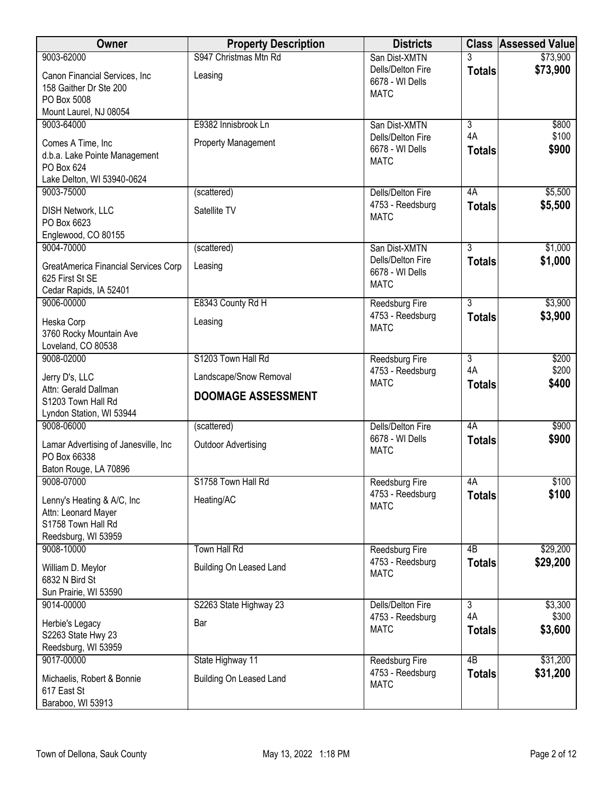| 9003-62000<br>San Dist-XMTN<br>\$73,900<br>Dells/Delton Fire<br><b>Totals</b><br>Canon Financial Services, Inc<br>Leasing<br>6678 - WI Dells<br>158 Gaither Dr Ste 200<br><b>MATC</b><br>PO Box 5008<br>Mount Laurel, NJ 08054<br>9003-64000<br>E9382 Innisbrook Ln<br>$\overline{3}$<br>\$800<br>San Dist-XMTN<br>4A<br>\$100<br>Dells/Delton Fire<br><b>Property Management</b><br>Comes A Time, Inc<br>6678 - WI Dells<br>\$900<br><b>Totals</b><br>d.b.a. Lake Pointe Management<br><b>MATC</b><br>PO Box 624<br>Lake Delton, WI 53940-0624<br>\$5,500<br>9003-75000<br>4A<br>(scattered)<br>Dells/Delton Fire<br>4753 - Reedsburg<br>\$5,500<br><b>Totals</b><br>Satellite TV<br><b>DISH Network, LLC</b><br><b>MATC</b><br>PO Box 6623<br>Englewood, CO 80155<br>$\overline{3}$<br>9004-70000<br>\$1,000<br>(scattered)<br>San Dist-XMTN<br>\$1,000<br>Dells/Delton Fire<br><b>Totals</b><br><b>GreatAmerica Financial Services Corp</b><br>Leasing<br>6678 - WI Dells<br>625 First St SE<br><b>MATC</b><br>Cedar Rapids, IA 52401<br>E8343 County Rd H<br>$\overline{3}$<br>\$3,900<br>9006-00000<br><b>Reedsburg Fire</b><br>\$3,900<br>4753 - Reedsburg<br><b>Totals</b><br>Heska Corp<br>Leasing<br><b>MATC</b><br>3760 Rocky Mountain Ave<br>Loveland, CO 80538<br>S1203 Town Hall Rd<br>$\overline{3}$<br>\$200<br>9008-02000<br><b>Reedsburg Fire</b><br>4A<br>\$200<br>4753 - Reedsburg<br>Landscape/Snow Removal<br>Jerry D's, LLC<br><b>MATC</b><br>\$400<br><b>Totals</b><br>Attn: Gerald Dallman<br><b>DOOMAGE ASSESSMENT</b><br>S1203 Town Hall Rd<br>Lyndon Station, WI 53944<br>$\overline{4A}$<br>9008-06000<br>\$900<br>(scattered)<br>Dells/Delton Fire<br>6678 - WI Dells<br>\$900<br><b>Totals</b><br>Lamar Advertising of Janesville, Inc<br><b>Outdoor Advertising</b><br><b>MATC</b><br>PO Box 66338<br>Baton Rouge, LA 70896<br>S1758 Town Hall Rd<br>\$100<br>9008-07000<br>Reedsburg Fire<br>4A<br>\$100<br>4753 - Reedsburg<br><b>Totals</b><br>Heating/AC<br>Lenny's Heating & A/C, Inc<br><b>MATC</b><br>Attn: Leonard Mayer<br>S1758 Town Hall Rd<br>Reedsburg, WI 53959<br><b>Town Hall Rd</b><br>4B<br>\$29,200<br>9008-10000<br>Reedsburg Fire<br>4753 - Reedsburg<br>\$29,200<br><b>Totals</b><br>Building On Leased Land<br>William D. Meylor<br><b>MATC</b><br>6832 N Bird St<br>Sun Prairie, WI 53590<br>S2263 State Highway 23<br>$\overline{3}$<br>\$3,300<br>9014-00000<br>Dells/Delton Fire<br>4A<br>\$300<br>4753 - Reedsburg<br>Herbie's Legacy<br>Bar<br>\$3,600<br><b>MATC</b><br><b>Totals</b><br>S2263 State Hwy 23<br>Reedsburg, WI 53959<br>$\overline{AB}$<br>\$31,200<br>9017-00000<br>State Highway 11<br>Reedsburg Fire<br>4753 - Reedsburg<br>\$31,200<br><b>Totals</b><br>Building On Leased Land<br>Michaelis, Robert & Bonnie<br><b>MATC</b><br>617 East St<br>Baraboo, WI 53913 | Owner | <b>Property Description</b> | <b>Districts</b> | <b>Class Assessed Value</b> |
|-------------------------------------------------------------------------------------------------------------------------------------------------------------------------------------------------------------------------------------------------------------------------------------------------------------------------------------------------------------------------------------------------------------------------------------------------------------------------------------------------------------------------------------------------------------------------------------------------------------------------------------------------------------------------------------------------------------------------------------------------------------------------------------------------------------------------------------------------------------------------------------------------------------------------------------------------------------------------------------------------------------------------------------------------------------------------------------------------------------------------------------------------------------------------------------------------------------------------------------------------------------------------------------------------------------------------------------------------------------------------------------------------------------------------------------------------------------------------------------------------------------------------------------------------------------------------------------------------------------------------------------------------------------------------------------------------------------------------------------------------------------------------------------------------------------------------------------------------------------------------------------------------------------------------------------------------------------------------------------------------------------------------------------------------------------------------------------------------------------------------------------------------------------------------------------------------------------------------------------------------------------------------------------------------------------------------------------------------------------------------------------------------------------------------------------------------------------------------------------------------------------------------------------------------------------------------------------------------------------------------------------------------------------------------------------------------------------------------------------------------------------------------------------------------------------------------------------------------|-------|-----------------------------|------------------|-----------------------------|
|                                                                                                                                                                                                                                                                                                                                                                                                                                                                                                                                                                                                                                                                                                                                                                                                                                                                                                                                                                                                                                                                                                                                                                                                                                                                                                                                                                                                                                                                                                                                                                                                                                                                                                                                                                                                                                                                                                                                                                                                                                                                                                                                                                                                                                                                                                                                                                                                                                                                                                                                                                                                                                                                                                                                                                                                                                                 |       | S947 Christmas Mtn Rd       |                  | \$73,900                    |
|                                                                                                                                                                                                                                                                                                                                                                                                                                                                                                                                                                                                                                                                                                                                                                                                                                                                                                                                                                                                                                                                                                                                                                                                                                                                                                                                                                                                                                                                                                                                                                                                                                                                                                                                                                                                                                                                                                                                                                                                                                                                                                                                                                                                                                                                                                                                                                                                                                                                                                                                                                                                                                                                                                                                                                                                                                                 |       |                             |                  |                             |
|                                                                                                                                                                                                                                                                                                                                                                                                                                                                                                                                                                                                                                                                                                                                                                                                                                                                                                                                                                                                                                                                                                                                                                                                                                                                                                                                                                                                                                                                                                                                                                                                                                                                                                                                                                                                                                                                                                                                                                                                                                                                                                                                                                                                                                                                                                                                                                                                                                                                                                                                                                                                                                                                                                                                                                                                                                                 |       |                             |                  |                             |
|                                                                                                                                                                                                                                                                                                                                                                                                                                                                                                                                                                                                                                                                                                                                                                                                                                                                                                                                                                                                                                                                                                                                                                                                                                                                                                                                                                                                                                                                                                                                                                                                                                                                                                                                                                                                                                                                                                                                                                                                                                                                                                                                                                                                                                                                                                                                                                                                                                                                                                                                                                                                                                                                                                                                                                                                                                                 |       |                             |                  |                             |
|                                                                                                                                                                                                                                                                                                                                                                                                                                                                                                                                                                                                                                                                                                                                                                                                                                                                                                                                                                                                                                                                                                                                                                                                                                                                                                                                                                                                                                                                                                                                                                                                                                                                                                                                                                                                                                                                                                                                                                                                                                                                                                                                                                                                                                                                                                                                                                                                                                                                                                                                                                                                                                                                                                                                                                                                                                                 |       |                             |                  |                             |
|                                                                                                                                                                                                                                                                                                                                                                                                                                                                                                                                                                                                                                                                                                                                                                                                                                                                                                                                                                                                                                                                                                                                                                                                                                                                                                                                                                                                                                                                                                                                                                                                                                                                                                                                                                                                                                                                                                                                                                                                                                                                                                                                                                                                                                                                                                                                                                                                                                                                                                                                                                                                                                                                                                                                                                                                                                                 |       |                             |                  |                             |
|                                                                                                                                                                                                                                                                                                                                                                                                                                                                                                                                                                                                                                                                                                                                                                                                                                                                                                                                                                                                                                                                                                                                                                                                                                                                                                                                                                                                                                                                                                                                                                                                                                                                                                                                                                                                                                                                                                                                                                                                                                                                                                                                                                                                                                                                                                                                                                                                                                                                                                                                                                                                                                                                                                                                                                                                                                                 |       |                             |                  |                             |
|                                                                                                                                                                                                                                                                                                                                                                                                                                                                                                                                                                                                                                                                                                                                                                                                                                                                                                                                                                                                                                                                                                                                                                                                                                                                                                                                                                                                                                                                                                                                                                                                                                                                                                                                                                                                                                                                                                                                                                                                                                                                                                                                                                                                                                                                                                                                                                                                                                                                                                                                                                                                                                                                                                                                                                                                                                                 |       |                             |                  |                             |
|                                                                                                                                                                                                                                                                                                                                                                                                                                                                                                                                                                                                                                                                                                                                                                                                                                                                                                                                                                                                                                                                                                                                                                                                                                                                                                                                                                                                                                                                                                                                                                                                                                                                                                                                                                                                                                                                                                                                                                                                                                                                                                                                                                                                                                                                                                                                                                                                                                                                                                                                                                                                                                                                                                                                                                                                                                                 |       |                             |                  |                             |
|                                                                                                                                                                                                                                                                                                                                                                                                                                                                                                                                                                                                                                                                                                                                                                                                                                                                                                                                                                                                                                                                                                                                                                                                                                                                                                                                                                                                                                                                                                                                                                                                                                                                                                                                                                                                                                                                                                                                                                                                                                                                                                                                                                                                                                                                                                                                                                                                                                                                                                                                                                                                                                                                                                                                                                                                                                                 |       |                             |                  |                             |
|                                                                                                                                                                                                                                                                                                                                                                                                                                                                                                                                                                                                                                                                                                                                                                                                                                                                                                                                                                                                                                                                                                                                                                                                                                                                                                                                                                                                                                                                                                                                                                                                                                                                                                                                                                                                                                                                                                                                                                                                                                                                                                                                                                                                                                                                                                                                                                                                                                                                                                                                                                                                                                                                                                                                                                                                                                                 |       |                             |                  |                             |
|                                                                                                                                                                                                                                                                                                                                                                                                                                                                                                                                                                                                                                                                                                                                                                                                                                                                                                                                                                                                                                                                                                                                                                                                                                                                                                                                                                                                                                                                                                                                                                                                                                                                                                                                                                                                                                                                                                                                                                                                                                                                                                                                                                                                                                                                                                                                                                                                                                                                                                                                                                                                                                                                                                                                                                                                                                                 |       |                             |                  |                             |
|                                                                                                                                                                                                                                                                                                                                                                                                                                                                                                                                                                                                                                                                                                                                                                                                                                                                                                                                                                                                                                                                                                                                                                                                                                                                                                                                                                                                                                                                                                                                                                                                                                                                                                                                                                                                                                                                                                                                                                                                                                                                                                                                                                                                                                                                                                                                                                                                                                                                                                                                                                                                                                                                                                                                                                                                                                                 |       |                             |                  |                             |
|                                                                                                                                                                                                                                                                                                                                                                                                                                                                                                                                                                                                                                                                                                                                                                                                                                                                                                                                                                                                                                                                                                                                                                                                                                                                                                                                                                                                                                                                                                                                                                                                                                                                                                                                                                                                                                                                                                                                                                                                                                                                                                                                                                                                                                                                                                                                                                                                                                                                                                                                                                                                                                                                                                                                                                                                                                                 |       |                             |                  |                             |
|                                                                                                                                                                                                                                                                                                                                                                                                                                                                                                                                                                                                                                                                                                                                                                                                                                                                                                                                                                                                                                                                                                                                                                                                                                                                                                                                                                                                                                                                                                                                                                                                                                                                                                                                                                                                                                                                                                                                                                                                                                                                                                                                                                                                                                                                                                                                                                                                                                                                                                                                                                                                                                                                                                                                                                                                                                                 |       |                             |                  |                             |
|                                                                                                                                                                                                                                                                                                                                                                                                                                                                                                                                                                                                                                                                                                                                                                                                                                                                                                                                                                                                                                                                                                                                                                                                                                                                                                                                                                                                                                                                                                                                                                                                                                                                                                                                                                                                                                                                                                                                                                                                                                                                                                                                                                                                                                                                                                                                                                                                                                                                                                                                                                                                                                                                                                                                                                                                                                                 |       |                             |                  |                             |
|                                                                                                                                                                                                                                                                                                                                                                                                                                                                                                                                                                                                                                                                                                                                                                                                                                                                                                                                                                                                                                                                                                                                                                                                                                                                                                                                                                                                                                                                                                                                                                                                                                                                                                                                                                                                                                                                                                                                                                                                                                                                                                                                                                                                                                                                                                                                                                                                                                                                                                                                                                                                                                                                                                                                                                                                                                                 |       |                             |                  |                             |
|                                                                                                                                                                                                                                                                                                                                                                                                                                                                                                                                                                                                                                                                                                                                                                                                                                                                                                                                                                                                                                                                                                                                                                                                                                                                                                                                                                                                                                                                                                                                                                                                                                                                                                                                                                                                                                                                                                                                                                                                                                                                                                                                                                                                                                                                                                                                                                                                                                                                                                                                                                                                                                                                                                                                                                                                                                                 |       |                             |                  |                             |
|                                                                                                                                                                                                                                                                                                                                                                                                                                                                                                                                                                                                                                                                                                                                                                                                                                                                                                                                                                                                                                                                                                                                                                                                                                                                                                                                                                                                                                                                                                                                                                                                                                                                                                                                                                                                                                                                                                                                                                                                                                                                                                                                                                                                                                                                                                                                                                                                                                                                                                                                                                                                                                                                                                                                                                                                                                                 |       |                             |                  |                             |
|                                                                                                                                                                                                                                                                                                                                                                                                                                                                                                                                                                                                                                                                                                                                                                                                                                                                                                                                                                                                                                                                                                                                                                                                                                                                                                                                                                                                                                                                                                                                                                                                                                                                                                                                                                                                                                                                                                                                                                                                                                                                                                                                                                                                                                                                                                                                                                                                                                                                                                                                                                                                                                                                                                                                                                                                                                                 |       |                             |                  |                             |
|                                                                                                                                                                                                                                                                                                                                                                                                                                                                                                                                                                                                                                                                                                                                                                                                                                                                                                                                                                                                                                                                                                                                                                                                                                                                                                                                                                                                                                                                                                                                                                                                                                                                                                                                                                                                                                                                                                                                                                                                                                                                                                                                                                                                                                                                                                                                                                                                                                                                                                                                                                                                                                                                                                                                                                                                                                                 |       |                             |                  |                             |
|                                                                                                                                                                                                                                                                                                                                                                                                                                                                                                                                                                                                                                                                                                                                                                                                                                                                                                                                                                                                                                                                                                                                                                                                                                                                                                                                                                                                                                                                                                                                                                                                                                                                                                                                                                                                                                                                                                                                                                                                                                                                                                                                                                                                                                                                                                                                                                                                                                                                                                                                                                                                                                                                                                                                                                                                                                                 |       |                             |                  |                             |
|                                                                                                                                                                                                                                                                                                                                                                                                                                                                                                                                                                                                                                                                                                                                                                                                                                                                                                                                                                                                                                                                                                                                                                                                                                                                                                                                                                                                                                                                                                                                                                                                                                                                                                                                                                                                                                                                                                                                                                                                                                                                                                                                                                                                                                                                                                                                                                                                                                                                                                                                                                                                                                                                                                                                                                                                                                                 |       |                             |                  |                             |
|                                                                                                                                                                                                                                                                                                                                                                                                                                                                                                                                                                                                                                                                                                                                                                                                                                                                                                                                                                                                                                                                                                                                                                                                                                                                                                                                                                                                                                                                                                                                                                                                                                                                                                                                                                                                                                                                                                                                                                                                                                                                                                                                                                                                                                                                                                                                                                                                                                                                                                                                                                                                                                                                                                                                                                                                                                                 |       |                             |                  |                             |
|                                                                                                                                                                                                                                                                                                                                                                                                                                                                                                                                                                                                                                                                                                                                                                                                                                                                                                                                                                                                                                                                                                                                                                                                                                                                                                                                                                                                                                                                                                                                                                                                                                                                                                                                                                                                                                                                                                                                                                                                                                                                                                                                                                                                                                                                                                                                                                                                                                                                                                                                                                                                                                                                                                                                                                                                                                                 |       |                             |                  |                             |
|                                                                                                                                                                                                                                                                                                                                                                                                                                                                                                                                                                                                                                                                                                                                                                                                                                                                                                                                                                                                                                                                                                                                                                                                                                                                                                                                                                                                                                                                                                                                                                                                                                                                                                                                                                                                                                                                                                                                                                                                                                                                                                                                                                                                                                                                                                                                                                                                                                                                                                                                                                                                                                                                                                                                                                                                                                                 |       |                             |                  |                             |
|                                                                                                                                                                                                                                                                                                                                                                                                                                                                                                                                                                                                                                                                                                                                                                                                                                                                                                                                                                                                                                                                                                                                                                                                                                                                                                                                                                                                                                                                                                                                                                                                                                                                                                                                                                                                                                                                                                                                                                                                                                                                                                                                                                                                                                                                                                                                                                                                                                                                                                                                                                                                                                                                                                                                                                                                                                                 |       |                             |                  |                             |
|                                                                                                                                                                                                                                                                                                                                                                                                                                                                                                                                                                                                                                                                                                                                                                                                                                                                                                                                                                                                                                                                                                                                                                                                                                                                                                                                                                                                                                                                                                                                                                                                                                                                                                                                                                                                                                                                                                                                                                                                                                                                                                                                                                                                                                                                                                                                                                                                                                                                                                                                                                                                                                                                                                                                                                                                                                                 |       |                             |                  |                             |
|                                                                                                                                                                                                                                                                                                                                                                                                                                                                                                                                                                                                                                                                                                                                                                                                                                                                                                                                                                                                                                                                                                                                                                                                                                                                                                                                                                                                                                                                                                                                                                                                                                                                                                                                                                                                                                                                                                                                                                                                                                                                                                                                                                                                                                                                                                                                                                                                                                                                                                                                                                                                                                                                                                                                                                                                                                                 |       |                             |                  |                             |
|                                                                                                                                                                                                                                                                                                                                                                                                                                                                                                                                                                                                                                                                                                                                                                                                                                                                                                                                                                                                                                                                                                                                                                                                                                                                                                                                                                                                                                                                                                                                                                                                                                                                                                                                                                                                                                                                                                                                                                                                                                                                                                                                                                                                                                                                                                                                                                                                                                                                                                                                                                                                                                                                                                                                                                                                                                                 |       |                             |                  |                             |
|                                                                                                                                                                                                                                                                                                                                                                                                                                                                                                                                                                                                                                                                                                                                                                                                                                                                                                                                                                                                                                                                                                                                                                                                                                                                                                                                                                                                                                                                                                                                                                                                                                                                                                                                                                                                                                                                                                                                                                                                                                                                                                                                                                                                                                                                                                                                                                                                                                                                                                                                                                                                                                                                                                                                                                                                                                                 |       |                             |                  |                             |
|                                                                                                                                                                                                                                                                                                                                                                                                                                                                                                                                                                                                                                                                                                                                                                                                                                                                                                                                                                                                                                                                                                                                                                                                                                                                                                                                                                                                                                                                                                                                                                                                                                                                                                                                                                                                                                                                                                                                                                                                                                                                                                                                                                                                                                                                                                                                                                                                                                                                                                                                                                                                                                                                                                                                                                                                                                                 |       |                             |                  |                             |
|                                                                                                                                                                                                                                                                                                                                                                                                                                                                                                                                                                                                                                                                                                                                                                                                                                                                                                                                                                                                                                                                                                                                                                                                                                                                                                                                                                                                                                                                                                                                                                                                                                                                                                                                                                                                                                                                                                                                                                                                                                                                                                                                                                                                                                                                                                                                                                                                                                                                                                                                                                                                                                                                                                                                                                                                                                                 |       |                             |                  |                             |
|                                                                                                                                                                                                                                                                                                                                                                                                                                                                                                                                                                                                                                                                                                                                                                                                                                                                                                                                                                                                                                                                                                                                                                                                                                                                                                                                                                                                                                                                                                                                                                                                                                                                                                                                                                                                                                                                                                                                                                                                                                                                                                                                                                                                                                                                                                                                                                                                                                                                                                                                                                                                                                                                                                                                                                                                                                                 |       |                             |                  |                             |
|                                                                                                                                                                                                                                                                                                                                                                                                                                                                                                                                                                                                                                                                                                                                                                                                                                                                                                                                                                                                                                                                                                                                                                                                                                                                                                                                                                                                                                                                                                                                                                                                                                                                                                                                                                                                                                                                                                                                                                                                                                                                                                                                                                                                                                                                                                                                                                                                                                                                                                                                                                                                                                                                                                                                                                                                                                                 |       |                             |                  |                             |
|                                                                                                                                                                                                                                                                                                                                                                                                                                                                                                                                                                                                                                                                                                                                                                                                                                                                                                                                                                                                                                                                                                                                                                                                                                                                                                                                                                                                                                                                                                                                                                                                                                                                                                                                                                                                                                                                                                                                                                                                                                                                                                                                                                                                                                                                                                                                                                                                                                                                                                                                                                                                                                                                                                                                                                                                                                                 |       |                             |                  |                             |
|                                                                                                                                                                                                                                                                                                                                                                                                                                                                                                                                                                                                                                                                                                                                                                                                                                                                                                                                                                                                                                                                                                                                                                                                                                                                                                                                                                                                                                                                                                                                                                                                                                                                                                                                                                                                                                                                                                                                                                                                                                                                                                                                                                                                                                                                                                                                                                                                                                                                                                                                                                                                                                                                                                                                                                                                                                                 |       |                             |                  |                             |
|                                                                                                                                                                                                                                                                                                                                                                                                                                                                                                                                                                                                                                                                                                                                                                                                                                                                                                                                                                                                                                                                                                                                                                                                                                                                                                                                                                                                                                                                                                                                                                                                                                                                                                                                                                                                                                                                                                                                                                                                                                                                                                                                                                                                                                                                                                                                                                                                                                                                                                                                                                                                                                                                                                                                                                                                                                                 |       |                             |                  |                             |
|                                                                                                                                                                                                                                                                                                                                                                                                                                                                                                                                                                                                                                                                                                                                                                                                                                                                                                                                                                                                                                                                                                                                                                                                                                                                                                                                                                                                                                                                                                                                                                                                                                                                                                                                                                                                                                                                                                                                                                                                                                                                                                                                                                                                                                                                                                                                                                                                                                                                                                                                                                                                                                                                                                                                                                                                                                                 |       |                             |                  |                             |
|                                                                                                                                                                                                                                                                                                                                                                                                                                                                                                                                                                                                                                                                                                                                                                                                                                                                                                                                                                                                                                                                                                                                                                                                                                                                                                                                                                                                                                                                                                                                                                                                                                                                                                                                                                                                                                                                                                                                                                                                                                                                                                                                                                                                                                                                                                                                                                                                                                                                                                                                                                                                                                                                                                                                                                                                                                                 |       |                             |                  |                             |
|                                                                                                                                                                                                                                                                                                                                                                                                                                                                                                                                                                                                                                                                                                                                                                                                                                                                                                                                                                                                                                                                                                                                                                                                                                                                                                                                                                                                                                                                                                                                                                                                                                                                                                                                                                                                                                                                                                                                                                                                                                                                                                                                                                                                                                                                                                                                                                                                                                                                                                                                                                                                                                                                                                                                                                                                                                                 |       |                             |                  |                             |
|                                                                                                                                                                                                                                                                                                                                                                                                                                                                                                                                                                                                                                                                                                                                                                                                                                                                                                                                                                                                                                                                                                                                                                                                                                                                                                                                                                                                                                                                                                                                                                                                                                                                                                                                                                                                                                                                                                                                                                                                                                                                                                                                                                                                                                                                                                                                                                                                                                                                                                                                                                                                                                                                                                                                                                                                                                                 |       |                             |                  |                             |
|                                                                                                                                                                                                                                                                                                                                                                                                                                                                                                                                                                                                                                                                                                                                                                                                                                                                                                                                                                                                                                                                                                                                                                                                                                                                                                                                                                                                                                                                                                                                                                                                                                                                                                                                                                                                                                                                                                                                                                                                                                                                                                                                                                                                                                                                                                                                                                                                                                                                                                                                                                                                                                                                                                                                                                                                                                                 |       |                             |                  |                             |
|                                                                                                                                                                                                                                                                                                                                                                                                                                                                                                                                                                                                                                                                                                                                                                                                                                                                                                                                                                                                                                                                                                                                                                                                                                                                                                                                                                                                                                                                                                                                                                                                                                                                                                                                                                                                                                                                                                                                                                                                                                                                                                                                                                                                                                                                                                                                                                                                                                                                                                                                                                                                                                                                                                                                                                                                                                                 |       |                             |                  |                             |
|                                                                                                                                                                                                                                                                                                                                                                                                                                                                                                                                                                                                                                                                                                                                                                                                                                                                                                                                                                                                                                                                                                                                                                                                                                                                                                                                                                                                                                                                                                                                                                                                                                                                                                                                                                                                                                                                                                                                                                                                                                                                                                                                                                                                                                                                                                                                                                                                                                                                                                                                                                                                                                                                                                                                                                                                                                                 |       |                             |                  |                             |
|                                                                                                                                                                                                                                                                                                                                                                                                                                                                                                                                                                                                                                                                                                                                                                                                                                                                                                                                                                                                                                                                                                                                                                                                                                                                                                                                                                                                                                                                                                                                                                                                                                                                                                                                                                                                                                                                                                                                                                                                                                                                                                                                                                                                                                                                                                                                                                                                                                                                                                                                                                                                                                                                                                                                                                                                                                                 |       |                             |                  |                             |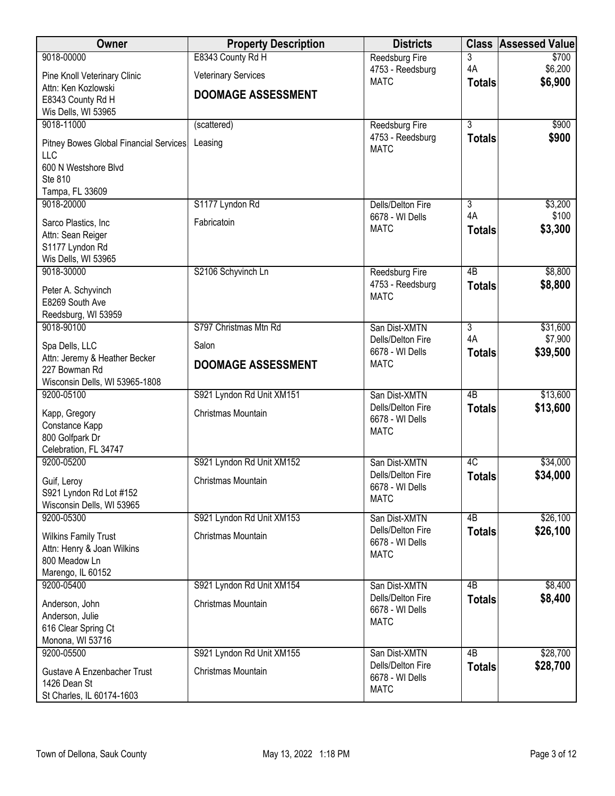| Owner                                    | <b>Property Description</b> | <b>Districts</b>                     | <b>Class</b>    | <b>Assessed Value</b> |
|------------------------------------------|-----------------------------|--------------------------------------|-----------------|-----------------------|
| 9018-00000                               | E8343 County Rd H           | Reedsburg Fire                       | 3               | \$700                 |
| Pine Knoll Veterinary Clinic             | <b>Veterinary Services</b>  | 4753 - Reedsburg<br><b>MATC</b>      | 4A              | \$6,200<br>\$6,900    |
| Attn: Ken Kozlowski                      | <b>DOOMAGE ASSESSMENT</b>   |                                      | <b>Totals</b>   |                       |
| E8343 County Rd H                        |                             |                                      |                 |                       |
| Wis Dells, WI 53965<br>9018-11000        | (scattered)                 | <b>Reedsburg Fire</b>                | $\overline{3}$  | \$900                 |
|                                          |                             | 4753 - Reedsburg                     | <b>Totals</b>   | \$900                 |
| Pitney Bowes Global Financial Services   | Leasing                     | <b>MATC</b>                          |                 |                       |
| LLC<br>600 N Westshore Blvd              |                             |                                      |                 |                       |
| Ste 810                                  |                             |                                      |                 |                       |
| Tampa, FL 33609                          |                             |                                      |                 |                       |
| 9018-20000                               | S1177 Lyndon Rd             | <b>Dells/Delton Fire</b>             | 3               | \$3,200               |
| Sarco Plastics, Inc                      | Fabricatoin                 | 6678 - WI Dells<br><b>MATC</b>       | 4A              | \$100                 |
| Attn: Sean Reiger                        |                             |                                      | <b>Totals</b>   | \$3,300               |
| S1177 Lyndon Rd                          |                             |                                      |                 |                       |
| Wis Dells, WI 53965<br>9018-30000        | S2106 Schyvinch Ln          | Reedsburg Fire                       | $\overline{AB}$ | \$8,800               |
|                                          |                             | 4753 - Reedsburg                     | <b>Totals</b>   | \$8,800               |
| Peter A. Schyvinch<br>E8269 South Ave    |                             | <b>MATC</b>                          |                 |                       |
| Reedsburg, WI 53959                      |                             |                                      |                 |                       |
| 9018-90100                               | S797 Christmas Mtn Rd       | San Dist-XMTN                        | 3               | \$31,600              |
| Spa Dells, LLC                           | Salon                       | Dells/Delton Fire                    | 4A              | \$7,900               |
| Attn: Jeremy & Heather Becker            |                             | 6678 - WI Dells                      | <b>Totals</b>   | \$39,500              |
| 227 Bowman Rd                            | <b>DOOMAGE ASSESSMENT</b>   | <b>MATC</b>                          |                 |                       |
| Wisconsin Dells, WI 53965-1808           |                             |                                      |                 |                       |
| 9200-05100                               | S921 Lyndon Rd Unit XM151   | San Dist-XMTN                        | $\overline{AB}$ | \$13,600              |
| Kapp, Gregory                            | Christmas Mountain          | Dells/Delton Fire<br>6678 - WI Dells | <b>Totals</b>   | \$13,600              |
| Constance Kapp                           |                             | <b>MATC</b>                          |                 |                       |
| 800 Golfpark Dr<br>Celebration, FL 34747 |                             |                                      |                 |                       |
| 9200-05200                               | S921 Lyndon Rd Unit XM152   | San Dist-XMTN                        | 4C              | \$34,000              |
|                                          | Christmas Mountain          | Dells/Delton Fire                    | <b>Totals</b>   | \$34,000              |
| Guif, Leroy<br>S921 Lyndon Rd Lot #152   |                             | 6678 - WI Dells                      |                 |                       |
| Wisconsin Dells, WI 53965                |                             | <b>MATC</b>                          |                 |                       |
| 9200-05300                               | S921 Lyndon Rd Unit XM153   | San Dist-XMTN                        | 4B              | \$26,100              |
| <b>Wilkins Family Trust</b>              | Christmas Mountain          | Dells/Delton Fire                    | <b>Totals</b>   | \$26,100              |
| Attn: Henry & Joan Wilkins               |                             | 6678 - WI Dells<br><b>MATC</b>       |                 |                       |
| 800 Meadow Ln                            |                             |                                      |                 |                       |
| Marengo, IL 60152<br>9200-05400          | S921 Lyndon Rd Unit XM154   | San Dist-XMTN                        | $\overline{AB}$ | \$8,400               |
|                                          |                             | Dells/Delton Fire                    | <b>Totals</b>   | \$8,400               |
| Anderson, John                           | Christmas Mountain          | 6678 - WI Dells                      |                 |                       |
| Anderson, Julie<br>616 Clear Spring Ct   |                             | <b>MATC</b>                          |                 |                       |
| Monona, WI 53716                         |                             |                                      |                 |                       |
| 9200-05500                               | S921 Lyndon Rd Unit XM155   | San Dist-XMTN                        | $\overline{AB}$ | \$28,700              |
| <b>Gustave A Enzenbacher Trust</b>       | Christmas Mountain          | Dells/Delton Fire                    | <b>Totals</b>   | \$28,700              |
| 1426 Dean St                             |                             | 6678 - WI Dells                      |                 |                       |
| St Charles, IL 60174-1603                |                             | <b>MATC</b>                          |                 |                       |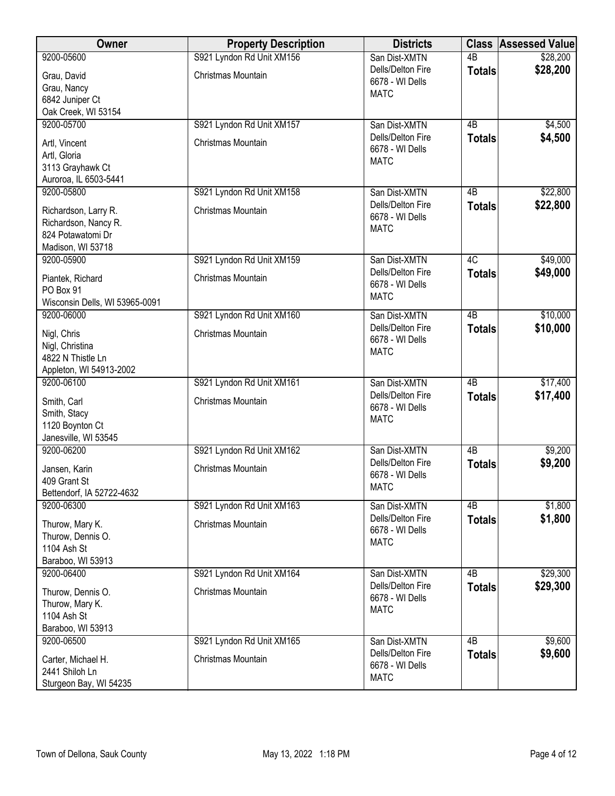| <b>Owner</b>                   | <b>Property Description</b> | <b>Districts</b>  |                 | <b>Class Assessed Value</b> |
|--------------------------------|-----------------------------|-------------------|-----------------|-----------------------------|
| 9200-05600                     | S921 Lyndon Rd Unit XM156   | San Dist-XMTN     | $\overline{AB}$ | \$28,200                    |
| Grau, David                    | Christmas Mountain          | Dells/Delton Fire | <b>Totals</b>   | \$28,200                    |
| Grau, Nancy                    |                             | 6678 - WI Dells   |                 |                             |
| 6842 Juniper Ct                |                             | <b>MATC</b>       |                 |                             |
| Oak Creek, WI 53154            |                             |                   |                 |                             |
| 9200-05700                     | S921 Lyndon Rd Unit XM157   | San Dist-XMTN     | 4B              | \$4,500                     |
| Artl, Vincent                  | Christmas Mountain          | Dells/Delton Fire | <b>Totals</b>   | \$4,500                     |
| Artl, Gloria                   |                             | 6678 - WI Dells   |                 |                             |
| 3113 Grayhawk Ct               |                             | <b>MATC</b>       |                 |                             |
| Auroroa, IL 6503-5441          |                             |                   |                 |                             |
| 9200-05800                     | S921 Lyndon Rd Unit XM158   | San Dist-XMTN     | 4B              | \$22,800                    |
|                                |                             | Dells/Delton Fire | <b>Totals</b>   | \$22,800                    |
| Richardson, Larry R.           | Christmas Mountain          | 6678 - WI Dells   |                 |                             |
| Richardson, Nancy R.           |                             | <b>MATC</b>       |                 |                             |
| 824 Potawatomi Dr              |                             |                   |                 |                             |
| Madison, WI 53718              |                             |                   |                 |                             |
| 9200-05900                     | S921 Lyndon Rd Unit XM159   | San Dist-XMTN     | 4C              | \$49,000                    |
| Piantek, Richard               | Christmas Mountain          | Dells/Delton Fire | <b>Totals</b>   | \$49,000                    |
| PO Box 91                      |                             | 6678 - WI Dells   |                 |                             |
| Wisconsin Dells, WI 53965-0091 |                             | <b>MATC</b>       |                 |                             |
| 9200-06000                     | S921 Lyndon Rd Unit XM160   | San Dist-XMTN     | $\overline{AB}$ | \$10,000                    |
|                                | Christmas Mountain          | Dells/Delton Fire | <b>Totals</b>   | \$10,000                    |
| Nigl, Chris<br>Nigl, Christina |                             | 6678 - WI Dells   |                 |                             |
| 4822 N Thistle Ln              |                             | <b>MATC</b>       |                 |                             |
| Appleton, WI 54913-2002        |                             |                   |                 |                             |
| 9200-06100                     | S921 Lyndon Rd Unit XM161   | San Dist-XMTN     | 4B              | \$17,400                    |
|                                |                             | Dells/Delton Fire | <b>Totals</b>   | \$17,400                    |
| Smith, Carl                    | Christmas Mountain          | 6678 - WI Dells   |                 |                             |
| Smith, Stacy                   |                             | <b>MATC</b>       |                 |                             |
| 1120 Boynton Ct                |                             |                   |                 |                             |
| Janesville, WI 53545           |                             |                   |                 |                             |
| 9200-06200                     | S921 Lyndon Rd Unit XM162   | San Dist-XMTN     | 4B              | \$9,200                     |
| Jansen, Karin                  | Christmas Mountain          | Dells/Delton Fire | <b>Totals</b>   | \$9,200                     |
| 409 Grant St                   |                             | 6678 - WI Dells   |                 |                             |
| Bettendorf, IA 52722-4632      |                             | <b>MATC</b>       |                 |                             |
| 9200-06300                     | S921 Lyndon Rd Unit XM163   | San Dist-XMTN     | 4B              | \$1,800                     |
| Thurow, Mary K.                | Christmas Mountain          | Dells/Delton Fire | <b>Totals</b>   | \$1,800                     |
| Thurow, Dennis O.              |                             | 6678 - WI Dells   |                 |                             |
| 1104 Ash St                    |                             | <b>MATC</b>       |                 |                             |
| Baraboo, WI 53913              |                             |                   |                 |                             |
| 9200-06400                     | S921 Lyndon Rd Unit XM164   | San Dist-XMTN     | 4 <sub>B</sub>  | \$29,300                    |
|                                |                             | Dells/Delton Fire | <b>Totals</b>   | \$29,300                    |
| Thurow, Dennis O.              | Christmas Mountain          | 6678 - WI Dells   |                 |                             |
| Thurow, Mary K.                |                             | <b>MATC</b>       |                 |                             |
| 1104 Ash St                    |                             |                   |                 |                             |
| Baraboo, WI 53913              |                             |                   |                 |                             |
| 9200-06500                     | S921 Lyndon Rd Unit XM165   | San Dist-XMTN     | 4B              | \$9,600                     |
| Carter, Michael H.             | Christmas Mountain          | Dells/Delton Fire | <b>Totals</b>   | \$9,600                     |
| 2441 Shiloh Ln                 |                             | 6678 - WI Dells   |                 |                             |
| Sturgeon Bay, WI 54235         |                             | <b>MATC</b>       |                 |                             |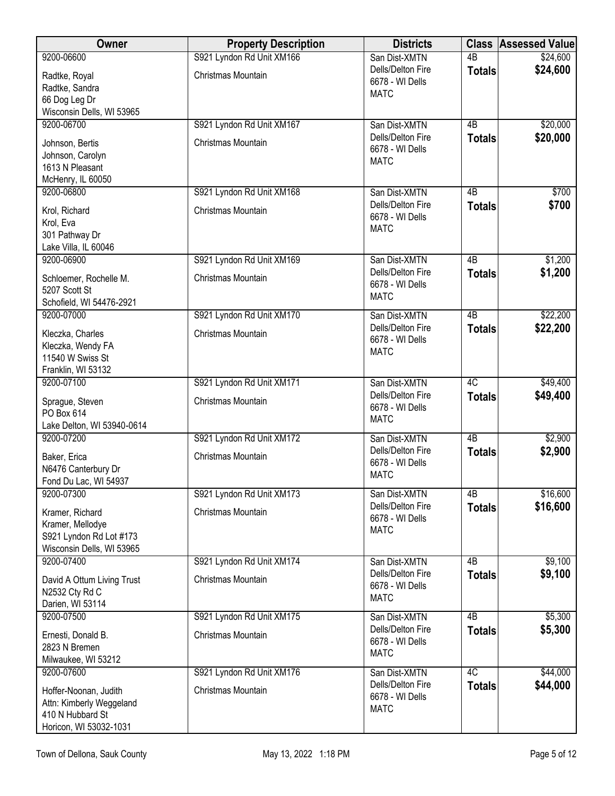| Owner                                       | <b>Property Description</b> | <b>Districts</b>                     |                 | <b>Class Assessed Value</b> |
|---------------------------------------------|-----------------------------|--------------------------------------|-----------------|-----------------------------|
| 9200-06600                                  | S921 Lyndon Rd Unit XM166   | San Dist-XMTN                        | $\overline{AB}$ | \$24,600                    |
| Radtke, Royal                               | <b>Christmas Mountain</b>   | Dells/Delton Fire                    | <b>Totals</b>   | \$24,600                    |
| Radtke, Sandra                              |                             | 6678 - WI Dells<br><b>MATC</b>       |                 |                             |
| 66 Dog Leg Dr                               |                             |                                      |                 |                             |
| Wisconsin Dells, WI 53965                   |                             |                                      |                 |                             |
| 9200-06700                                  | S921 Lyndon Rd Unit XM167   | San Dist-XMTN<br>Dells/Delton Fire   | $\overline{AB}$ | \$20,000                    |
| Johnson, Bertis                             | Christmas Mountain          | 6678 - WI Dells                      | <b>Totals</b>   | \$20,000                    |
| Johnson, Carolyn                            |                             | <b>MATC</b>                          |                 |                             |
| 1613 N Pleasant                             |                             |                                      |                 |                             |
| McHenry, IL 60050<br>9200-06800             | S921 Lyndon Rd Unit XM168   | San Dist-XMTN                        | 4B              | \$700                       |
|                                             |                             | Dells/Delton Fire                    | <b>Totals</b>   | \$700                       |
| Krol, Richard                               | Christmas Mountain          | 6678 - WI Dells                      |                 |                             |
| Krol, Eva<br>301 Pathway Dr                 |                             | <b>MATC</b>                          |                 |                             |
| Lake Villa, IL 60046                        |                             |                                      |                 |                             |
| 9200-06900                                  | S921 Lyndon Rd Unit XM169   | San Dist-XMTN                        | 4B              | \$1,200                     |
| Schloemer, Rochelle M.                      | Christmas Mountain          | Dells/Delton Fire                    | <b>Totals</b>   | \$1,200                     |
| 5207 Scott St                               |                             | 6678 - WI Dells                      |                 |                             |
| Schofield, WI 54476-2921                    |                             | <b>MATC</b>                          |                 |                             |
| 9200-07000                                  | S921 Lyndon Rd Unit XM170   | San Dist-XMTN                        | $\overline{AB}$ | \$22,200                    |
| Kleczka, Charles                            | Christmas Mountain          | Dells/Delton Fire                    | <b>Totals</b>   | \$22,200                    |
| Kleczka, Wendy FA                           |                             | 6678 - WI Dells                      |                 |                             |
| 11540 W Swiss St                            |                             | <b>MATC</b>                          |                 |                             |
| Franklin, WI 53132                          |                             |                                      |                 |                             |
| 9200-07100                                  | S921 Lyndon Rd Unit XM171   | San Dist-XMTN                        | 4C              | \$49,400                    |
| Sprague, Steven                             | Christmas Mountain          | Dells/Delton Fire<br>6678 - WI Dells | <b>Totals</b>   | \$49,400                    |
| PO Box 614                                  |                             | <b>MATC</b>                          |                 |                             |
| Lake Delton, WI 53940-0614                  |                             |                                      |                 |                             |
| 9200-07200                                  | S921 Lyndon Rd Unit XM172   | San Dist-XMTN<br>Dells/Delton Fire   | $\overline{AB}$ | \$2,900<br>\$2,900          |
| Baker, Erica                                | Christmas Mountain          | 6678 - WI Dells                      | <b>Totals</b>   |                             |
| N6476 Canterbury Dr                         |                             | <b>MATC</b>                          |                 |                             |
| Fond Du Lac, WI 54937<br>9200-07300         | S921 Lyndon Rd Unit XM173   | San Dist-XMTN                        | $\overline{AB}$ | \$16,600                    |
|                                             |                             | Dells/Delton Fire                    | <b>Totals</b>   | \$16,600                    |
| Kramer, Richard                             | Christmas Mountain          | 6678 - WI Dells                      |                 |                             |
| Kramer, Mellodye<br>S921 Lyndon Rd Lot #173 |                             | <b>MATC</b>                          |                 |                             |
| Wisconsin Dells, WI 53965                   |                             |                                      |                 |                             |
| 9200-07400                                  | S921 Lyndon Rd Unit XM174   | San Dist-XMTN                        | 4B              | \$9,100                     |
| David A Ottum Living Trust                  | Christmas Mountain          | Dells/Delton Fire                    | <b>Totals</b>   | \$9,100                     |
| N2532 Cty Rd C                              |                             | 6678 - WI Dells                      |                 |                             |
| Darien, WI 53114                            |                             | <b>MATC</b>                          |                 |                             |
| 9200-07500                                  | S921 Lyndon Rd Unit XM175   | San Dist-XMTN                        | 4B              | \$5,300                     |
| Ernesti, Donald B.                          | Christmas Mountain          | Dells/Delton Fire<br>6678 - WI Dells | <b>Totals</b>   | \$5,300                     |
| 2823 N Bremen                               |                             | <b>MATC</b>                          |                 |                             |
| Milwaukee, WI 53212                         |                             |                                      |                 |                             |
| 9200-07600                                  | S921 Lyndon Rd Unit XM176   | San Dist-XMTN<br>Dells/Delton Fire   | 4C              | \$44,000                    |
| Hoffer-Noonan, Judith                       | Christmas Mountain          | 6678 - WI Dells                      | <b>Totals</b>   | \$44,000                    |
| Attn: Kimberly Weggeland                    |                             | <b>MATC</b>                          |                 |                             |
| 410 N Hubbard St<br>Horicon, WI 53032-1031  |                             |                                      |                 |                             |
|                                             |                             |                                      |                 |                             |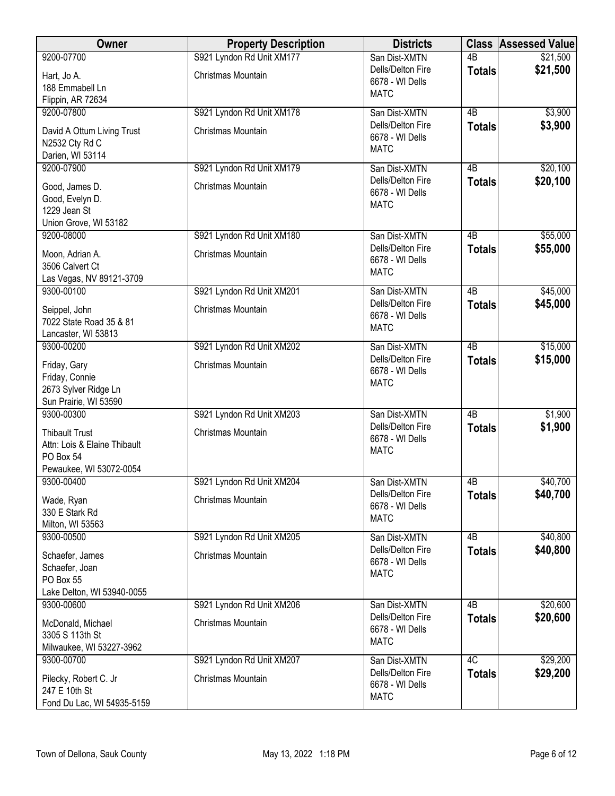| <b>Owner</b>                         | <b>Property Description</b> | <b>Districts</b>                     |                 | <b>Class Assessed Value</b> |
|--------------------------------------|-----------------------------|--------------------------------------|-----------------|-----------------------------|
| 9200-07700                           | S921 Lyndon Rd Unit XM177   | San Dist-XMTN                        | $\overline{AB}$ | \$21,500                    |
| Hart, Jo A.                          | Christmas Mountain          | Dells/Delton Fire                    | <b>Totals</b>   | \$21,500                    |
| 188 Emmabell Ln                      |                             | 6678 - WI Dells                      |                 |                             |
| Flippin, AR 72634                    |                             | <b>MATC</b>                          |                 |                             |
| 9200-07800                           | S921 Lyndon Rd Unit XM178   | San Dist-XMTN                        | $\overline{AB}$ | \$3,900                     |
|                                      |                             | Dells/Delton Fire                    | <b>Totals</b>   | \$3,900                     |
| David A Ottum Living Trust           | Christmas Mountain          | 6678 - WI Dells                      |                 |                             |
| N2532 Cty Rd C<br>Darien, WI 53114   |                             | <b>MATC</b>                          |                 |                             |
| 9200-07900                           | S921 Lyndon Rd Unit XM179   | San Dist-XMTN                        | 4B              | \$20,100                    |
|                                      |                             | Dells/Delton Fire                    | <b>Totals</b>   | \$20,100                    |
| Good, James D.                       | Christmas Mountain          | 6678 - WI Dells                      |                 |                             |
| Good, Evelyn D.                      |                             | <b>MATC</b>                          |                 |                             |
| 1229 Jean St                         |                             |                                      |                 |                             |
| Union Grove, WI 53182                |                             |                                      |                 |                             |
| 9200-08000                           | S921 Lyndon Rd Unit XM180   | San Dist-XMTN                        | $\overline{AB}$ | \$55,000                    |
| Moon, Adrian A.                      | Christmas Mountain          | Dells/Delton Fire                    | <b>Totals</b>   | \$55,000                    |
| 3506 Calvert Ct                      |                             | 6678 - WI Dells<br><b>MATC</b>       |                 |                             |
| Las Vegas, NV 89121-3709             |                             |                                      |                 |                             |
| 9300-00100                           | S921 Lyndon Rd Unit XM201   | San Dist-XMTN                        | $\overline{AB}$ | \$45,000                    |
| Seippel, John                        | Christmas Mountain          | Dells/Delton Fire                    | <b>Totals</b>   | \$45,000                    |
| 7022 State Road 35 & 81              |                             | 6678 - WI Dells                      |                 |                             |
| Lancaster, WI 53813                  |                             | <b>MATC</b>                          |                 |                             |
| 9300-00200                           | S921 Lyndon Rd Unit XM202   | San Dist-XMTN                        | $\overline{AB}$ | \$15,000                    |
|                                      |                             | Dells/Delton Fire                    | <b>Totals</b>   | \$15,000                    |
| Friday, Gary<br>Friday, Connie       | Christmas Mountain          | 6678 - WI Dells                      |                 |                             |
| 2673 Sylver Ridge Ln                 |                             | <b>MATC</b>                          |                 |                             |
| Sun Prairie, WI 53590                |                             |                                      |                 |                             |
| 9300-00300                           | S921 Lyndon Rd Unit XM203   | San Dist-XMTN                        | $\overline{AB}$ | \$1,900                     |
|                                      |                             | Dells/Delton Fire                    | <b>Totals</b>   | \$1,900                     |
| <b>Thibault Trust</b>                | Christmas Mountain          | 6678 - WI Dells                      |                 |                             |
| Attn: Lois & Elaine Thibault         |                             | <b>MATC</b>                          |                 |                             |
| PO Box 54<br>Pewaukee, WI 53072-0054 |                             |                                      |                 |                             |
| 9300-00400                           | S921 Lyndon Rd Unit XM204   | San Dist-XMTN                        | 4B              | \$40,700                    |
|                                      |                             | Dells/Delton Fire                    | <b>Totals</b>   | \$40,700                    |
| Wade, Ryan                           | Christmas Mountain          | 6678 - WI Dells                      |                 |                             |
| 330 E Stark Rd                       |                             | <b>MATC</b>                          |                 |                             |
| Milton, WI 53563                     |                             |                                      |                 |                             |
| 9300-00500                           | S921 Lyndon Rd Unit XM205   | San Dist-XMTN                        | 4 <sub>B</sub>  | \$40,800                    |
| Schaefer, James                      | Christmas Mountain          | Dells/Delton Fire<br>6678 - WI Dells | <b>Totals</b>   | \$40,800                    |
| Schaefer, Joan                       |                             | <b>MATC</b>                          |                 |                             |
| PO Box 55                            |                             |                                      |                 |                             |
| Lake Delton, WI 53940-0055           |                             |                                      |                 |                             |
| 9300-00600                           | S921 Lyndon Rd Unit XM206   | San Dist-XMTN                        | 4B              | \$20,600                    |
| McDonald, Michael                    | Christmas Mountain          | Dells/Delton Fire                    | <b>Totals</b>   | \$20,600                    |
| 3305 S 113th St                      |                             | 6678 - WI Dells                      |                 |                             |
| Milwaukee, WI 53227-3962             |                             | <b>MATC</b>                          |                 |                             |
| 9300-00700                           | S921 Lyndon Rd Unit XM207   | San Dist-XMTN                        | 4C              | \$29,200                    |
| Pilecky, Robert C. Jr                | Christmas Mountain          | Dells/Delton Fire                    | <b>Totals</b>   | \$29,200                    |
| 247 E 10th St                        |                             | 6678 - WI Dells                      |                 |                             |
| Fond Du Lac, WI 54935-5159           |                             | <b>MATC</b>                          |                 |                             |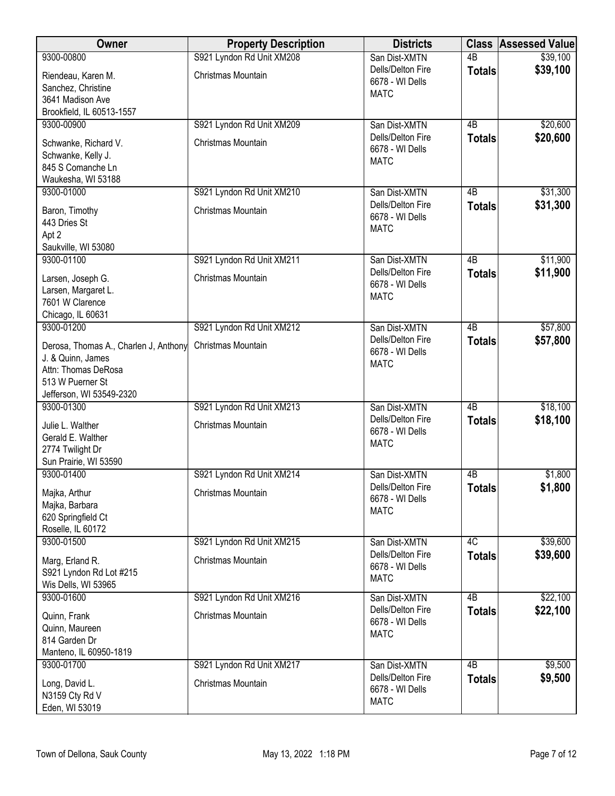| Owner                                                                                                 | <b>Property Description</b> | <b>Districts</b>                                    |                 | <b>Class Assessed Value</b> |
|-------------------------------------------------------------------------------------------------------|-----------------------------|-----------------------------------------------------|-----------------|-----------------------------|
| 9300-00800                                                                                            | S921 Lyndon Rd Unit XM208   | San Dist-XMTN                                       | $\overline{AB}$ | \$39,100                    |
| Riendeau, Karen M.<br>Sanchez, Christine<br>3641 Madison Ave                                          | Christmas Mountain          | Dells/Delton Fire<br>6678 - WI Dells<br><b>MATC</b> | <b>Totals</b>   | \$39,100                    |
| Brookfield, IL 60513-1557                                                                             |                             |                                                     |                 |                             |
| 9300-00900                                                                                            | S921 Lyndon Rd Unit XM209   | San Dist-XMTN                                       | 4B              | \$20,600                    |
| Schwanke, Richard V.<br>Schwanke, Kelly J.<br>845 S Comanche Ln<br>Waukesha, WI 53188                 | Christmas Mountain          | Dells/Delton Fire<br>6678 - WI Dells<br><b>MATC</b> | <b>Totals</b>   | \$20,600                    |
| 9300-01000                                                                                            | S921 Lyndon Rd Unit XM210   | San Dist-XMTN                                       | 4 <sub>B</sub>  | \$31,300                    |
| Baron, Timothy<br>443 Dries St<br>Apt 2<br>Saukville, WI 53080                                        | Christmas Mountain          | Dells/Delton Fire<br>6678 - WI Dells<br><b>MATC</b> | <b>Totals</b>   | \$31,300                    |
| 9300-01100                                                                                            | S921 Lyndon Rd Unit XM211   | San Dist-XMTN                                       | $\overline{AB}$ | \$11,900                    |
| Larsen, Joseph G.<br>Larsen, Margaret L.<br>7601 W Clarence<br>Chicago, IL 60631                      | Christmas Mountain          | Dells/Delton Fire<br>6678 - WI Dells<br><b>MATC</b> | <b>Totals</b>   | \$11,900                    |
| 9300-01200                                                                                            | S921 Lyndon Rd Unit XM212   | San Dist-XMTN                                       | $\overline{AB}$ | \$57,800                    |
| Derosa, Thomas A., Charlen J, Anthony<br>J. & Quinn, James<br>Attn: Thomas DeRosa<br>513 W Puerner St | Christmas Mountain          | Dells/Delton Fire<br>6678 - WI Dells<br><b>MATC</b> | <b>Totals</b>   | \$57,800                    |
| Jefferson, WI 53549-2320<br>9300-01300                                                                | S921 Lyndon Rd Unit XM213   | San Dist-XMTN                                       | 4B              | \$18,100                    |
| Julie L. Walther<br>Gerald E. Walther<br>2774 Twilight Dr<br>Sun Prairie, WI 53590                    | Christmas Mountain          | Dells/Delton Fire<br>6678 - WI Dells<br><b>MATC</b> | <b>Totals</b>   | \$18,100                    |
| 9300-01400                                                                                            | S921 Lyndon Rd Unit XM214   | San Dist-XMTN                                       | 4B              | \$1,800                     |
| Majka, Arthur<br>Majka, Barbara<br>620 Springfield Ct<br>Roselle, IL 60172                            | Christmas Mountain          | Dells/Delton Fire<br>6678 - WI Dells<br><b>MATC</b> | <b>Totals</b>   | \$1,800                     |
| 9300-01500                                                                                            | S921 Lyndon Rd Unit XM215   | San Dist-XMTN                                       | 4C              | \$39,600                    |
| Marg, Erland R.<br>S921 Lyndon Rd Lot #215<br>Wis Dells, WI 53965                                     | Christmas Mountain          | Dells/Delton Fire<br>6678 - WI Dells<br><b>MATC</b> | <b>Totals</b>   | \$39,600                    |
| 9300-01600                                                                                            | S921 Lyndon Rd Unit XM216   | San Dist-XMTN                                       | 4B              | \$22,100                    |
| Quinn, Frank<br>Quinn, Maureen<br>814 Garden Dr<br>Manteno, IL 60950-1819                             | Christmas Mountain          | Dells/Delton Fire<br>6678 - WI Dells<br><b>MATC</b> | <b>Totals</b>   | \$22,100                    |
| 9300-01700                                                                                            | S921 Lyndon Rd Unit XM217   | San Dist-XMTN                                       | $\overline{AB}$ | \$9,500                     |
| Long, David L.<br>N3159 Cty Rd V<br>Eden, WI 53019                                                    | Christmas Mountain          | Dells/Delton Fire<br>6678 - WI Dells<br><b>MATC</b> | <b>Totals</b>   | \$9,500                     |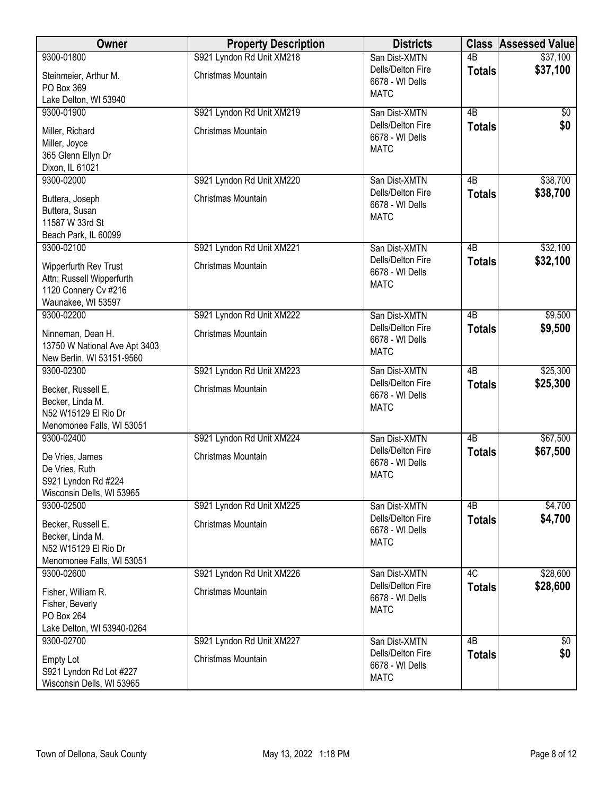| Owner                                                                                            | <b>Property Description</b> | <b>Districts</b>                                    |                 | <b>Class Assessed Value</b> |
|--------------------------------------------------------------------------------------------------|-----------------------------|-----------------------------------------------------|-----------------|-----------------------------|
| 9300-01800                                                                                       | S921 Lyndon Rd Unit XM218   | San Dist-XMTN                                       | $\overline{AB}$ | \$37,100                    |
| Steinmeier, Arthur M.<br>PO Box 369                                                              | Christmas Mountain          | Dells/Delton Fire<br>6678 - WI Dells<br><b>MATC</b> | <b>Totals</b>   | \$37,100                    |
| Lake Delton, WI 53940                                                                            |                             |                                                     |                 |                             |
| 9300-01900                                                                                       | S921 Lyndon Rd Unit XM219   | San Dist-XMTN                                       | $\overline{AB}$ | \$0                         |
| Miller, Richard<br>Miller, Joyce<br>365 Glenn Ellyn Dr                                           | Christmas Mountain          | Dells/Delton Fire<br>6678 - WI Dells<br><b>MATC</b> | <b>Totals</b>   | \$0                         |
| Dixon, IL 61021                                                                                  |                             |                                                     |                 |                             |
| 9300-02000                                                                                       | S921 Lyndon Rd Unit XM220   | San Dist-XMTN                                       | 4B              | \$38,700                    |
| Buttera, Joseph<br>Buttera, Susan<br>11587 W 33rd St                                             | Christmas Mountain          | Dells/Delton Fire<br>6678 - WI Dells<br><b>MATC</b> | <b>Totals</b>   | \$38,700                    |
| Beach Park, IL 60099<br>9300-02100                                                               | S921 Lyndon Rd Unit XM221   | San Dist-XMTN                                       | 4B              | \$32,100                    |
| Wipperfurth Rev Trust<br>Attn: Russell Wipperfurth<br>1120 Connery Cv #216<br>Waunakee, WI 53597 | Christmas Mountain          | Dells/Delton Fire<br>6678 - WI Dells<br><b>MATC</b> | <b>Totals</b>   | \$32,100                    |
| 9300-02200                                                                                       | S921 Lyndon Rd Unit XM222   | San Dist-XMTN                                       | $\overline{AB}$ | \$9,500                     |
| Ninneman, Dean H.<br>13750 W National Ave Apt 3403<br>New Berlin, WI 53151-9560                  | Christmas Mountain          | Dells/Delton Fire<br>6678 - WI Dells<br><b>MATC</b> | <b>Totals</b>   | \$9,500                     |
| 9300-02300                                                                                       | S921 Lyndon Rd Unit XM223   | San Dist-XMTN                                       | $\overline{AB}$ | \$25,300                    |
| Becker, Russell E.<br>Becker, Linda M.<br>N52 W15129 El Rio Dr<br>Menomonee Falls, WI 53051      | Christmas Mountain          | Dells/Delton Fire<br>6678 - WI Dells<br><b>MATC</b> | <b>Totals</b>   | \$25,300                    |
| 9300-02400                                                                                       | S921 Lyndon Rd Unit XM224   | San Dist-XMTN                                       | $\overline{AB}$ | \$67,500                    |
| De Vries, James<br>De Vries, Ruth<br>S921 Lyndon Rd #224<br>Wisconsin Dells, WI 53965            | Christmas Mountain          | Dells/Delton Fire<br>6678 - WI Dells<br><b>MATC</b> | <b>Totals</b>   | \$67,500                    |
| 9300-02500                                                                                       | S921 Lyndon Rd Unit XM225   | San Dist-XMTN                                       | 4B              | \$4,700                     |
| Becker, Russell E.<br>Becker, Linda M.<br>N52 W15129 El Rio Dr<br>Menomonee Falls, WI 53051      | Christmas Mountain          | Dells/Delton Fire<br>6678 - WI Dells<br><b>MATC</b> | <b>Totals</b>   | \$4,700                     |
| 9300-02600                                                                                       | S921 Lyndon Rd Unit XM226   | San Dist-XMTN                                       | 4C              | \$28,600                    |
| Fisher, William R.<br>Fisher, Beverly<br>PO Box 264<br>Lake Delton, WI 53940-0264                | Christmas Mountain          | Dells/Delton Fire<br>6678 - WI Dells<br><b>MATC</b> | <b>Totals</b>   | \$28,600                    |
| 9300-02700                                                                                       | S921 Lyndon Rd Unit XM227   | San Dist-XMTN                                       | $\overline{AB}$ | $\sqrt[6]{30}$              |
| <b>Empty Lot</b><br>S921 Lyndon Rd Lot #227<br>Wisconsin Dells, WI 53965                         | Christmas Mountain          | Dells/Delton Fire<br>6678 - WI Dells<br><b>MATC</b> | <b>Totals</b>   | \$0                         |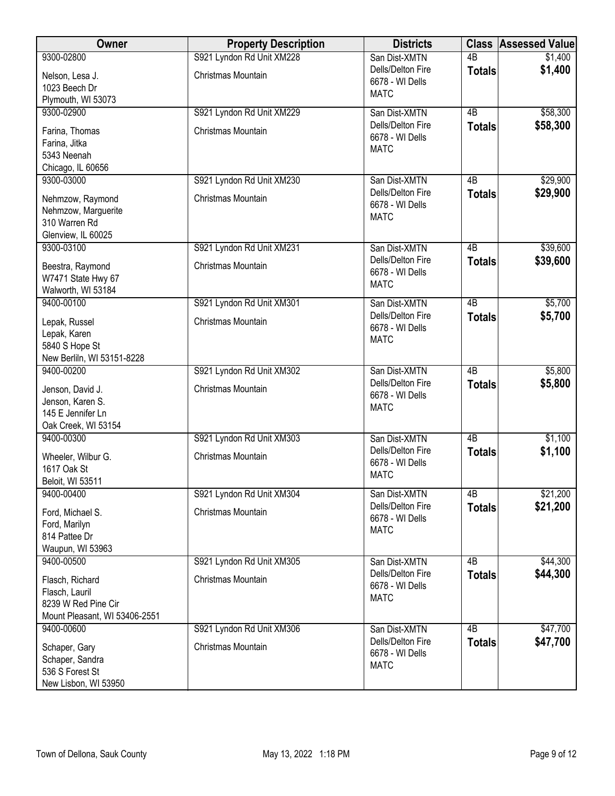| Owner                                                                                     | <b>Property Description</b>                     | <b>Districts</b>                                                     | <b>Class</b>    | <b>Assessed Value</b> |
|-------------------------------------------------------------------------------------------|-------------------------------------------------|----------------------------------------------------------------------|-----------------|-----------------------|
| 9300-02800                                                                                | S921 Lyndon Rd Unit XM228                       | San Dist-XMTN                                                        | $\overline{AB}$ | \$1,400               |
| Nelson, Lesa J.<br>1023 Beech Dr                                                          | Christmas Mountain                              | Dells/Delton Fire<br>6678 - WI Dells<br><b>MATC</b>                  | <b>Totals</b>   | \$1,400               |
| Plymouth, WI 53073<br>9300-02900                                                          |                                                 |                                                                      | $\overline{AB}$ |                       |
| Farina, Thomas<br>Farina, Jitka<br>5343 Neenah<br>Chicago, IL 60656                       | S921 Lyndon Rd Unit XM229<br>Christmas Mountain | San Dist-XMTN<br>Dells/Delton Fire<br>6678 - WI Dells<br><b>MATC</b> | <b>Totals</b>   | \$58,300<br>\$58,300  |
| 9300-03000                                                                                | S921 Lyndon Rd Unit XM230                       | San Dist-XMTN                                                        | 4B              | \$29,900              |
| Nehmzow, Raymond<br>Nehmzow, Marguerite<br>310 Warren Rd<br>Glenview, IL 60025            | Christmas Mountain                              | Dells/Delton Fire<br>6678 - WI Dells<br><b>MATC</b>                  | <b>Totals</b>   | \$29,900              |
| 9300-03100                                                                                | S921 Lyndon Rd Unit XM231                       | San Dist-XMTN                                                        | 4B              | \$39,600              |
| Beestra, Raymond<br>W7471 State Hwy 67<br>Walworth, WI 53184                              | Christmas Mountain                              | Dells/Delton Fire<br>6678 - WI Dells<br><b>MATC</b>                  | <b>Totals</b>   | \$39,600              |
| 9400-00100                                                                                | S921 Lyndon Rd Unit XM301                       | San Dist-XMTN                                                        | $\overline{AB}$ | \$5,700               |
| Lepak, Russel<br>Lepak, Karen<br>5840 S Hope St                                           | Christmas Mountain                              | Dells/Delton Fire<br>6678 - WI Dells<br><b>MATC</b>                  | <b>Totals</b>   | \$5,700               |
| New Berliln, WI 53151-8228                                                                |                                                 |                                                                      |                 |                       |
| 9400-00200                                                                                | S921 Lyndon Rd Unit XM302                       | San Dist-XMTN                                                        | $\overline{AB}$ | \$5,800               |
| Jenson, David J.<br>Jenson, Karen S.<br>145 E Jennifer Ln<br>Oak Creek, WI 53154          | Christmas Mountain                              | Dells/Delton Fire<br>6678 - WI Dells<br><b>MATC</b>                  | <b>Totals</b>   | \$5,800               |
| 9400-00300                                                                                | S921 Lyndon Rd Unit XM303                       | San Dist-XMTN                                                        | $\overline{AB}$ | \$1,100               |
| Wheeler, Wilbur G.<br>1617 Oak St<br>Beloit, WI 53511                                     | Christmas Mountain                              | Dells/Delton Fire<br>6678 - WI Dells<br><b>MATC</b>                  | <b>Totals</b>   | \$1,100               |
| 9400-00400                                                                                | S921 Lyndon Rd Unit XM304                       | San Dist-XMTN                                                        | 4B              | \$21,200              |
| Ford, Michael S.<br>Ford, Marilyn<br>814 Pattee Dr<br>Waupun, WI 53963                    | Christmas Mountain                              | Dells/Delton Fire<br>6678 - WI Dells<br><b>MATC</b>                  | <b>Totals</b>   | \$21,200              |
| 9400-00500                                                                                | S921 Lyndon Rd Unit XM305                       | San Dist-XMTN                                                        | 4B              | \$44,300              |
| Flasch, Richard<br>Flasch, Lauril<br>8239 W Red Pine Cir<br>Mount Pleasant, WI 53406-2551 | Christmas Mountain                              | Dells/Delton Fire<br>6678 - WI Dells<br><b>MATC</b>                  | <b>Totals</b>   | \$44,300              |
| 9400-00600                                                                                | S921 Lyndon Rd Unit XM306                       | San Dist-XMTN                                                        | $\overline{AB}$ | \$47,700              |
| Schaper, Gary<br>Schaper, Sandra<br>536 S Forest St<br>New Lisbon, WI 53950               | Christmas Mountain                              | Dells/Delton Fire<br>6678 - WI Dells<br><b>MATC</b>                  | <b>Totals</b>   | \$47,700              |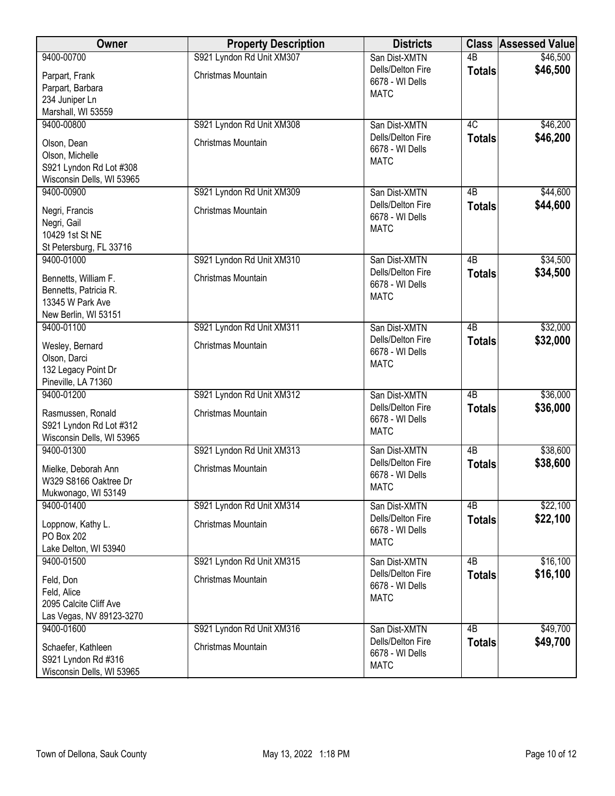| <b>Owner</b>                                     | <b>Property Description</b> | <b>Districts</b>                     |                 | <b>Class Assessed Value</b> |
|--------------------------------------------------|-----------------------------|--------------------------------------|-----------------|-----------------------------|
| 9400-00700                                       | S921 Lyndon Rd Unit XM307   | San Dist-XMTN                        | $\overline{AB}$ | \$46,500                    |
| Parpart, Frank                                   | Christmas Mountain          | Dells/Delton Fire<br>6678 - WI Dells | <b>Totals</b>   | \$46,500                    |
| Parpart, Barbara                                 |                             | <b>MATC</b>                          |                 |                             |
| 234 Juniper Ln                                   |                             |                                      |                 |                             |
| Marshall, WI 53559                               |                             |                                      |                 |                             |
| 9400-00800                                       | S921 Lyndon Rd Unit XM308   | San Dist-XMTN                        | 4C              | \$46,200                    |
| Olson, Dean                                      | Christmas Mountain          | Dells/Delton Fire                    | <b>Totals</b>   | \$46,200                    |
| Olson, Michelle                                  |                             | 6678 - WI Dells<br><b>MATC</b>       |                 |                             |
| S921 Lyndon Rd Lot #308                          |                             |                                      |                 |                             |
| Wisconsin Dells, WI 53965                        |                             |                                      |                 |                             |
| 9400-00900                                       | S921 Lyndon Rd Unit XM309   | San Dist-XMTN                        | 4 <sub>B</sub>  | \$44,600                    |
| Negri, Francis                                   | Christmas Mountain          | Dells/Delton Fire                    | <b>Totals</b>   | \$44,600                    |
| Negri, Gail                                      |                             | 6678 - WI Dells                      |                 |                             |
| 10429 1st St NE                                  |                             | <b>MATC</b>                          |                 |                             |
| St Petersburg, FL 33716                          |                             |                                      |                 |                             |
| 9400-01000                                       | S921 Lyndon Rd Unit XM310   | San Dist-XMTN                        | $\overline{AB}$ | \$34,500                    |
| Bennetts, William F.                             | Christmas Mountain          | Dells/Delton Fire                    | <b>Totals</b>   | \$34,500                    |
| Bennetts, Patricia R.                            |                             | 6678 - WI Dells                      |                 |                             |
| 13345 W Park Ave                                 |                             | <b>MATC</b>                          |                 |                             |
| New Berlin, WI 53151                             |                             |                                      |                 |                             |
| 9400-01100                                       | S921 Lyndon Rd Unit XM311   | San Dist-XMTN                        | $\overline{AB}$ | \$32,000                    |
| Wesley, Bernard                                  | Christmas Mountain          | Dells/Delton Fire                    | <b>Totals</b>   | \$32,000                    |
| Olson, Darci                                     |                             | 6678 - WI Dells                      |                 |                             |
| 132 Legacy Point Dr                              |                             | <b>MATC</b>                          |                 |                             |
| Pineville, LA 71360                              |                             |                                      |                 |                             |
| 9400-01200                                       | S921 Lyndon Rd Unit XM312   | San Dist-XMTN                        | $\overline{AB}$ | \$36,000                    |
| Rasmussen, Ronald                                | Christmas Mountain          | Dells/Delton Fire                    | <b>Totals</b>   | \$36,000                    |
| S921 Lyndon Rd Lot #312                          |                             | 6678 - WI Dells                      |                 |                             |
| Wisconsin Dells, WI 53965                        |                             | <b>MATC</b>                          |                 |                             |
| 9400-01300                                       | S921 Lyndon Rd Unit XM313   | San Dist-XMTN                        | $\overline{AB}$ | \$38,600                    |
| Mielke, Deborah Ann                              | Christmas Mountain          | Dells/Delton Fire                    | <b>Totals</b>   | \$38,600                    |
| W329 S8166 Oaktree Dr                            |                             | 6678 - WI Dells                      |                 |                             |
| Mukwonago, WI 53149                              |                             | <b>MATC</b>                          |                 |                             |
| 9400-01400                                       | S921 Lyndon Rd Unit XM314   | San Dist-XMTN                        | 4B              | \$22,100                    |
|                                                  | Christmas Mountain          | Dells/Delton Fire                    | <b>Totals</b>   | \$22,100                    |
| Loppnow, Kathy L.<br>PO Box 202                  |                             | 6678 - WI Dells                      |                 |                             |
| Lake Delton, WI 53940                            |                             | <b>MATC</b>                          |                 |                             |
| 9400-01500                                       | S921 Lyndon Rd Unit XM315   | San Dist-XMTN                        | 4B              | \$16,100                    |
|                                                  |                             | Dells/Delton Fire                    | <b>Totals</b>   | \$16,100                    |
| Feld, Don                                        | Christmas Mountain          | 6678 - WI Dells                      |                 |                             |
| Feld, Alice<br>2095 Calcite Cliff Ave            |                             | <b>MATC</b>                          |                 |                             |
| Las Vegas, NV 89123-3270                         |                             |                                      |                 |                             |
| 9400-01600                                       | S921 Lyndon Rd Unit XM316   | San Dist-XMTN                        | $\overline{AB}$ | \$49,700                    |
|                                                  |                             | Dells/Delton Fire                    | <b>Totals</b>   | \$49,700                    |
| Schaefer, Kathleen                               | Christmas Mountain          | 6678 - WI Dells                      |                 |                             |
| S921 Lyndon Rd #316<br>Wisconsin Dells, WI 53965 |                             | <b>MATC</b>                          |                 |                             |
|                                                  |                             |                                      |                 |                             |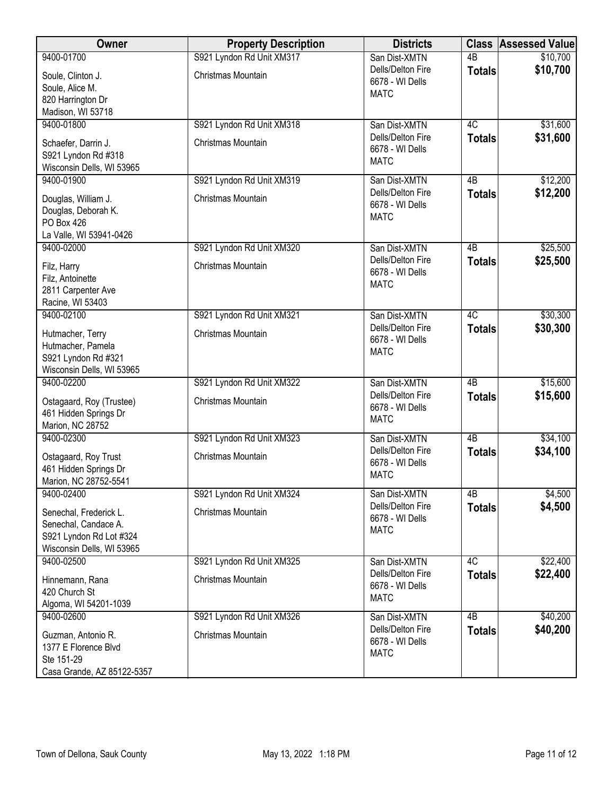| Owner                                                                                                  | <b>Property Description</b> | <b>Districts</b>                                    |                 | <b>Class Assessed Value</b> |
|--------------------------------------------------------------------------------------------------------|-----------------------------|-----------------------------------------------------|-----------------|-----------------------------|
| 9400-01700                                                                                             | S921 Lyndon Rd Unit XM317   | San Dist-XMTN                                       | 4B              | \$10,700                    |
| Soule, Clinton J.<br>Soule, Alice M.<br>820 Harrington Dr                                              | Christmas Mountain          | Dells/Delton Fire<br>6678 - WI Dells<br><b>MATC</b> | <b>Totals</b>   | \$10,700                    |
| Madison, WI 53718                                                                                      |                             |                                                     |                 |                             |
| 9400-01800                                                                                             | S921 Lyndon Rd Unit XM318   | San Dist-XMTN                                       | 4C              | \$31,600                    |
| Schaefer, Darrin J.<br>S921 Lyndon Rd #318<br>Wisconsin Dells, WI 53965                                | Christmas Mountain          | Dells/Delton Fire<br>6678 - WI Dells<br><b>MATC</b> | <b>Totals</b>   | \$31,600                    |
| 9400-01900                                                                                             | S921 Lyndon Rd Unit XM319   | San Dist-XMTN                                       | 4B              | \$12,200                    |
| Douglas, William J.<br>Douglas, Deborah K.<br><b>PO Box 426</b><br>La Valle, WI 53941-0426             | Christmas Mountain          | Dells/Delton Fire<br>6678 - WI Dells<br><b>MATC</b> | <b>Totals</b>   | \$12,200                    |
| 9400-02000                                                                                             | S921 Lyndon Rd Unit XM320   | San Dist-XMTN                                       | 4B              | \$25,500                    |
| Filz, Harry<br>Filz, Antoinette<br>2811 Carpenter Ave<br>Racine, WI 53403                              | Christmas Mountain          | Dells/Delton Fire<br>6678 - WI Dells<br><b>MATC</b> | <b>Totals</b>   | \$25,500                    |
| 9400-02100                                                                                             | S921 Lyndon Rd Unit XM321   | San Dist-XMTN                                       | 4C              | \$30,300                    |
| Hutmacher, Terry<br>Hutmacher, Pamela<br>S921 Lyndon Rd #321                                           | Christmas Mountain          | Dells/Delton Fire<br>6678 - WI Dells<br><b>MATC</b> | <b>Totals</b>   | \$30,300                    |
| Wisconsin Dells, WI 53965<br>9400-02200                                                                | S921 Lyndon Rd Unit XM322   | San Dist-XMTN                                       | $\overline{AB}$ | \$15,600                    |
| Ostagaard, Roy (Trustee)<br>461 Hidden Springs Dr<br>Marion, NC 28752                                  | Christmas Mountain          | Dells/Delton Fire<br>6678 - WI Dells<br><b>MATC</b> | <b>Totals</b>   | \$15,600                    |
| 9400-02300                                                                                             | S921 Lyndon Rd Unit XM323   | San Dist-XMTN                                       | $\overline{AB}$ | \$34,100                    |
| Ostagaard, Roy Trust<br>461 Hidden Springs Dr<br>Marion, NC 28752-5541                                 | Christmas Mountain          | Dells/Delton Fire<br>6678 - WI Dells<br><b>MATC</b> | <b>Totals</b>   | \$34,100                    |
| 9400-02400                                                                                             | S921 Lyndon Rd Unit XM324   | San Dist-XMTN                                       | 4B              | \$4,500                     |
| Senechal, Frederick L.<br>Senechal, Candace A.<br>S921 Lyndon Rd Lot #324<br>Wisconsin Dells, WI 53965 | Christmas Mountain          | Dells/Delton Fire<br>6678 - WI Dells<br><b>MATC</b> | <b>Totals</b>   | \$4,500                     |
| 9400-02500                                                                                             | S921 Lyndon Rd Unit XM325   | San Dist-XMTN                                       | 4C              | \$22,400                    |
| Hinnemann, Rana<br>420 Church St<br>Algoma, WI 54201-1039                                              | Christmas Mountain          | Dells/Delton Fire<br>6678 - WI Dells<br><b>MATC</b> | <b>Totals</b>   | \$22,400                    |
| 9400-02600                                                                                             | S921 Lyndon Rd Unit XM326   | San Dist-XMTN                                       | $\overline{AB}$ | \$40,200                    |
| Guzman, Antonio R.<br>1377 E Florence Blvd<br>Ste 151-29<br>Casa Grande, AZ 85122-5357                 | Christmas Mountain          | Dells/Delton Fire<br>6678 - WI Dells<br><b>MATC</b> | <b>Totals</b>   | \$40,200                    |